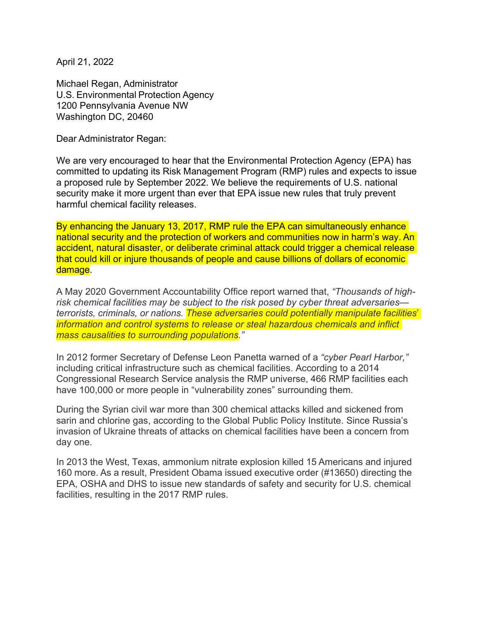April 21, 2022

Michael Regan, Administrator U.S. Environmental Protection Agency 1200 Pennsylvania Avenue NW Washington DC, 20460

Dear Administrator Regan:

We are very encouraged to hear that the Environmental Protection Agency (EPA) has committed to updating its Risk Management Program (RMP) rules and expects to issue a proposed rule by September 2022. We believe the requirements of U.S. national security make it more urgent than ever that EPA issue new rules that truly prevent harmful chemical facility releases.

By enhancing the January 13, 2017, RMP rule the EPA can simultaneously enhance national security and the protection of workers and communities now in harm's way. An accident, natural disaster, or deliberate criminal attack could trigger a chemical release that could kill or injure thousands of people and cause billions of dollars of economic damage.

A May 2020 Government Accountability Office report warned that, *"Thousands of highrisk chemical facilities may be subject to the risk posed by cyber threat adversaries terrorists, criminals, or nations. These adversaries could potentially manipulate facilities*' *information and control systems to release or steal hazardous chemicals and inflict mass causalities to surrounding populations."*

In 2012 former Secretary of Defense Leon Panetta warned of a *"cyber Pearl Harbor,"*  including critical infrastructure such as chemical facilities. According to a 2014 Congressional Research Service analysis the RMP universe, 466 RMP facilities each have 100,000 or more people in "vulnerability zones" surrounding them.

During the Syrian civil war more than 300 chemical attacks killed and sickened from sarin and chlorine gas, according to the Global Public Policy Institute. Since Russia's invasion of Ukraine threats of attacks on chemical facilities have been a concern from day one.

In 2013 the West, Texas, ammonium nitrate explosion killed 15 Americans and injured 160 more. As a result, President Obama issued executive order (#13650) directing the EPA, OSHA and DHS to issue new standards of safety and security for U.S. chemical facilities, resulting in the 2017 RMP rules.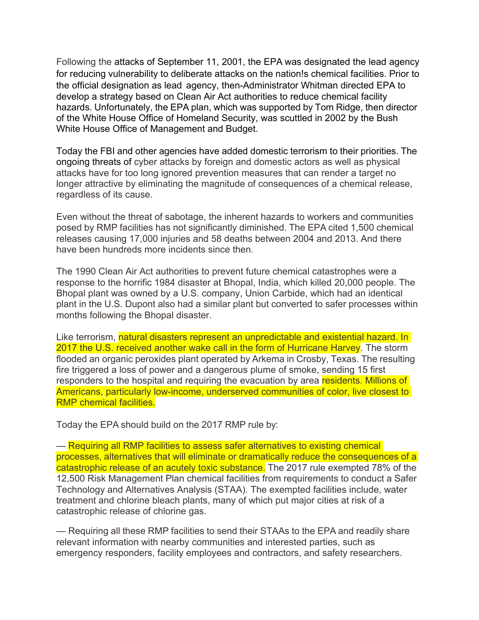Following the attacks of September 11, 2001, the EPA was designated the lead agency for reducing vulnerability to deliberate attacks on the nation!s chemical facilities. Prior to the official designation as lead agency, then-Administrator Whitman directed EPA to develop a strategy based on Clean Air Act authorities to reduce chemical facility hazards. Unfortunately, the EPA plan, which was supported by Tom Ridge, then director of the White House Office of Homeland Security, was scuttled in 2002 by the Bush White House Office of Management and Budget.

Today the FBI and other agencies have added domestic terrorism to their priorities. The ongoing threats of cyber attacks by foreign and domestic actors as well as physical attacks have for too long ignored prevention measures that can render a target no longer attractive by eliminating the magnitude of consequences of a chemical release, regardless of its cause.

Even without the threat of sabotage, the inherent hazards to workers and communities posed by RMP facilities has not significantly diminished. The EPA cited 1,500 chemical releases causing 17,000 injuries and 58 deaths between 2004 and 2013. And there have been hundreds more incidents since then.

The 1990 Clean Air Act authorities to prevent future chemical catastrophes were a response to the horrific 1984 disaster at Bhopal, India, which killed 20,000 people. The Bhopal plant was owned by a U.S. company, Union Carbide, which had an identical plant in the U.S. Dupont also had a similar plant but converted to safer processes within months following the Bhopal disaster.

Like terrorism, natural disasters represent an unpredictable and existential hazard. In 2017 the U.S. received another wake call in the form of Hurricane Harvey. The storm flooded an organic peroxides plant operated by Arkema in Crosby, Texas. The resulting fire triggered a loss of power and a dangerous plume of smoke, sending 15 first responders to the hospital and requiring the evacuation by area residents. Millions of Americans, particularly low-income, underserved communities of color, live closest to RMP chemical facilities.

Today the EPA should build on the 2017 RMP rule by:

— Requiring all RMP facilities to assess safer alternatives to existing chemical processes, alternatives that will eliminate or dramatically reduce the consequences of a catastrophic release of an acutely toxic substance. The 2017 rule exempted 78% of the 12,500 Risk Management Plan chemical facilities from requirements to conduct a Safer Technology and Alternatives Analysis (STAA). The exempted facilities include, water treatment and chlorine bleach plants, many of which put major cities at risk of a catastrophic release of chlorine gas.

— Requiring all these RMP facilities to send their STAAs to the EPA and readily share relevant information with nearby communities and interested parties, such as emergency responders, facility employees and contractors, and safety researchers.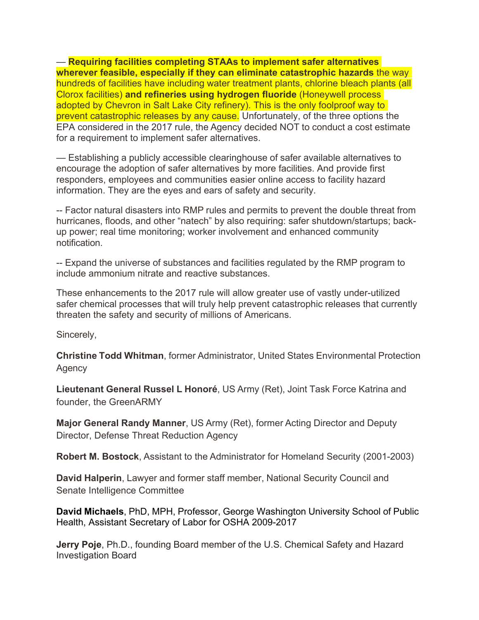— **Requiring facilities completing STAAs to implement safer alternatives wherever feasible, especially if they can eliminate catastrophic hazards** the way hundreds of facilities have including water treatment plants, chlorine bleach plants (all Clorox facilities) **and refineries using hydrogen fluoride** (Honeywell process adopted by Chevron in Salt Lake City refinery). This is the only foolproof way to prevent catastrophic releases by any cause. Unfortunately, of the three options the EPA considered in the 2017 rule, the Agency decided NOT to conduct a cost estimate for a requirement to implement safer alternatives.

— Establishing a publicly accessible clearinghouse of safer available alternatives to encourage the adoption of safer alternatives by more facilities. And provide first responders, employees and communities easier online access to facility hazard information. They are the eyes and ears of safety and security.

-- Factor natural disasters into RMP rules and permits to prevent the double threat from hurricanes, floods, and other "natech" by also requiring: safer shutdown/startups; backup power; real time monitoring; worker involvement and enhanced community notification.

-- Expand the universe of substances and facilities regulated by the RMP program to include ammonium nitrate and reactive substances.

These enhancements to the 2017 rule will allow greater use of vastly under-utilized safer chemical processes that will truly help prevent catastrophic releases that currently threaten the safety and security of millions of Americans.

Sincerely,

**Christine Todd Whitman**, former Administrator, United States Environmental Protection Agency

**Lieutenant General Russel L Honoré**, US Army (Ret), Joint Task Force Katrina and founder, the GreenARMY

**Major General Randy Manner**, US Army (Ret), former Acting Director and Deputy Director, Defense Threat Reduction Agency

**Robert M. Bostock**, Assistant to the Administrator for Homeland Security (2001-2003)

**David Halperin**, Lawyer and former staff member, National Security Council and Senate Intelligence Committee

**David Michaels**, PhD, MPH, Professor, George Washington University School of Public Health, Assistant Secretary of Labor for OSHA 2009-2017

**Jerry Poje**, Ph.D., founding Board member of the U.S. Chemical Safety and Hazard Investigation Board